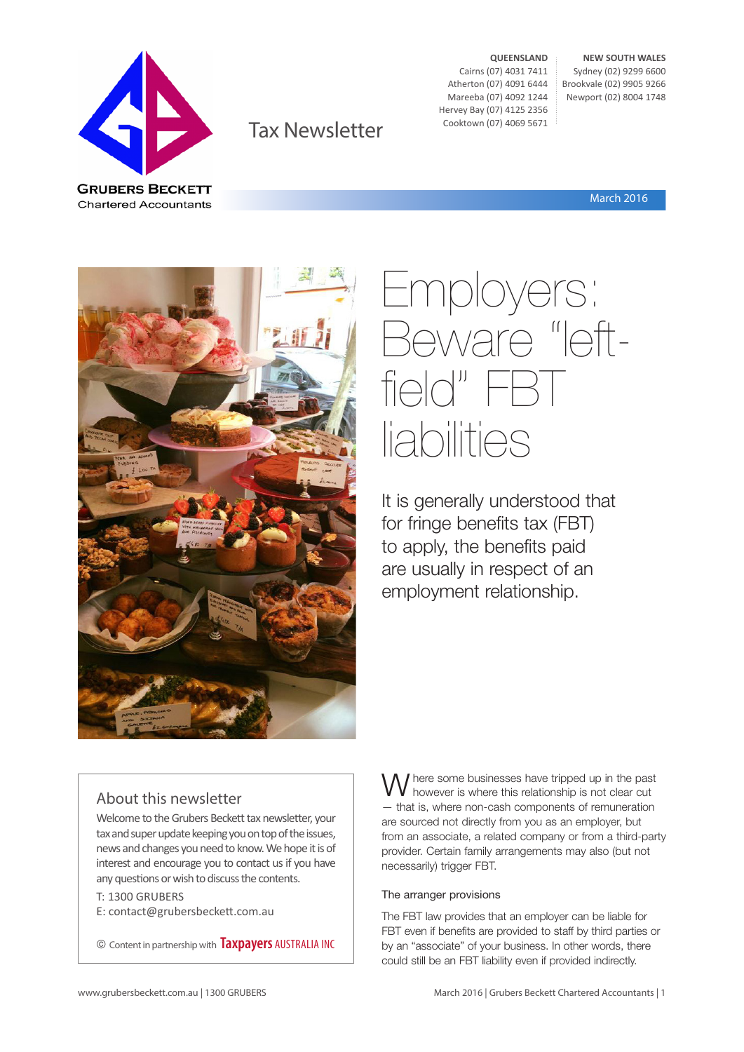

Tax Newsletter

**QUEENSLAND** Cairns (07) 4031 7411 Atherton (07) 4091 6444 Mareeba (07) 4092 1244 Hervey Bay (07) 4125 2356 Cooktown (07) 4069 5671

**NEW SOUTH WALES** Sydney (02) 9299 6600 Brookvale (02) 9905 9266 Newport (02) 8004 1748

March 2016



## Employers: Beware "leftfield" FBT liabilities

It is generally understood that for fringe benefits tax (FBT) to apply, the benefits paid are usually in respect of an employment relationship.

## About this newsletter

Welcome to the Grubers Beckett tax newsletter, your tax and super update keeping you on top of the issues, news and changes you need to know. We hope it is of interest and encourage you to contact us if you have any questions or wish to discuss the contents.

T: 1300 GRUBERS E: contact@grubersbeckett.com.au

© Content in partnership with **Taxpayers** AUSTRALIA INC

W here some businesses have tripped up in the past however is where this relationship is not clear cut — that is, where non-cash components of remuneration are sourced not directly from you as an employer, but from an associate, a related company or from a third-party provider. Certain family arrangements may also (but not necessarily) trigger FBT.

### The arranger provisions

The FBT law provides that an employer can be liable for FBT even if benefits are provided to staff by third parties or by an "associate" of your business. In other words, there could still be an FBT liability even if provided indirectly.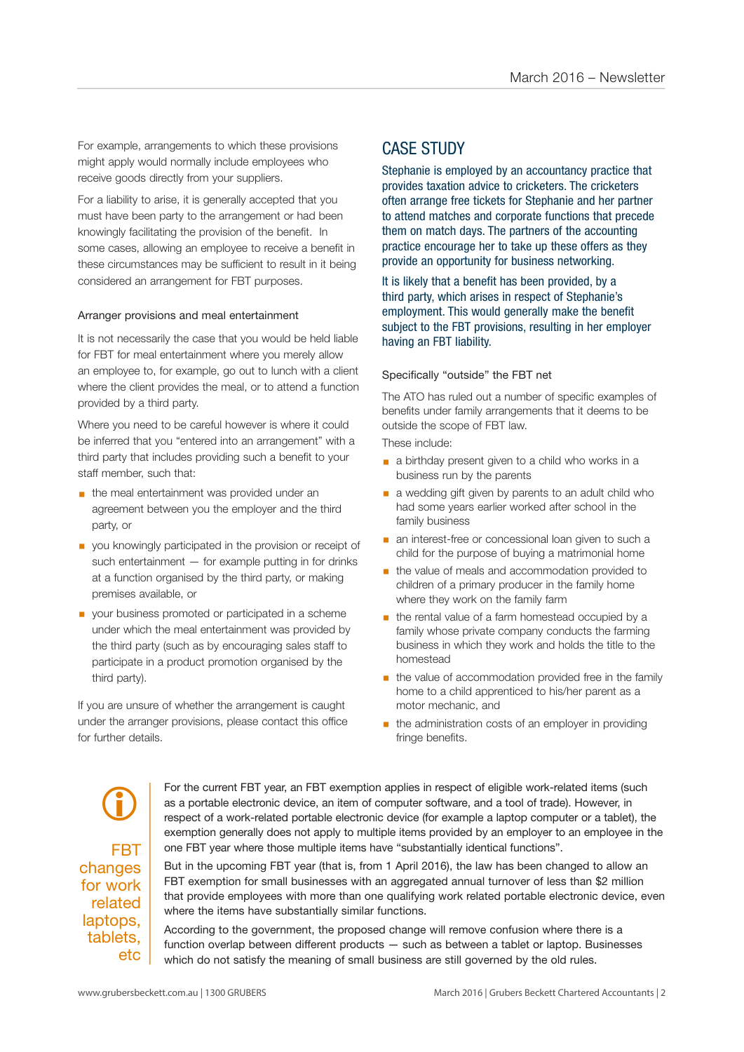For example, arrangements to which these provisions might apply would normally include employees who receive goods directly from your suppliers.

For a liability to arise, it is generally accepted that you must have been party to the arrangement or had been knowingly facilitating the provision of the benefit. In some cases, allowing an employee to receive a benefit in these circumstances may be sufficient to result in it being considered an arrangement for FBT purposes.

#### Arranger provisions and meal entertainment

It is not necessarily the case that you would be held liable for FBT for meal entertainment where you merely allow an employee to, for example, go out to lunch with a client where the client provides the meal, or to attend a function provided by a third party.

Where you need to be careful however is where it could be inferred that you "entered into an arrangement" with a third party that includes providing such a benefit to your staff member, such that:

- **the meal entertainment was provided under an** agreement between you the employer and the third party, or
- you knowingly participated in the provision or receipt of such entertainment — for example putting in for drinks at a function organised by the third party, or making premises available, or
- your business promoted or participated in a scheme under which the meal entertainment was provided by the third party (such as by encouraging sales staff to participate in a product promotion organised by the third party).

If you are unsure of whether the arrangement is caught under the arranger provisions, please contact this office for further details.

## CASE STUDY

Stephanie is employed by an accountancy practice that provides taxation advice to cricketers. The cricketers often arrange free tickets for Stephanie and her partner to attend matches and corporate functions that precede them on match days. The partners of the accounting practice encourage her to take up these offers as they provide an opportunity for business networking.

It is likely that a benefit has been provided, by a third party, which arises in respect of Stephanie's employment. This would generally make the benefit subject to the FBT provisions, resulting in her employer having an FBT liability.

#### Specifically "outside" the FBT net

The ATO has ruled out a number of specific examples of benefits under family arrangements that it deems to be outside the scope of FBT law.

These include:

- a birthday present given to a child who works in a business run by the parents
- a wedding gift given by parents to an adult child who had some years earlier worked after school in the family business
- **a** an interest-free or concessional loan given to such a child for the purpose of buying a matrimonial home
- the value of meals and accommodation provided to children of a primary producer in the family home where they work on the family farm
- the rental value of a farm homestead occupied by a family whose private company conducts the farming business in which they work and holds the title to the homestead
- **•** the value of accommodation provided free in the family home to a child apprenticed to his/her parent as a motor mechanic, and
- the administration costs of an employer in providing fringe benefits.

FBT changes for work related laptops, tablets, etc  $\bigcirc$ 

For the current FBT year, an FBT exemption applies in respect of eligible work-related items (such as a portable electronic device, an item of computer software, and a tool of trade). However, in respect of a work-related portable electronic device (for example a laptop computer or a tablet), the exemption generally does not apply to multiple items provided by an employer to an employee in the one FBT year where those multiple items have "substantially identical functions".

But in the upcoming FBT year (that is, from 1 April 2016), the law has been changed to allow an FBT exemption for small businesses with an aggregated annual turnover of less than \$2 million that provide employees with more than one qualifying work related portable electronic device, even where the items have substantially similar functions.

According to the government, the proposed change will remove confusion where there is a function overlap between different products — such as between a tablet or laptop. Businesses which do not satisfy the meaning of small business are still governed by the old rules.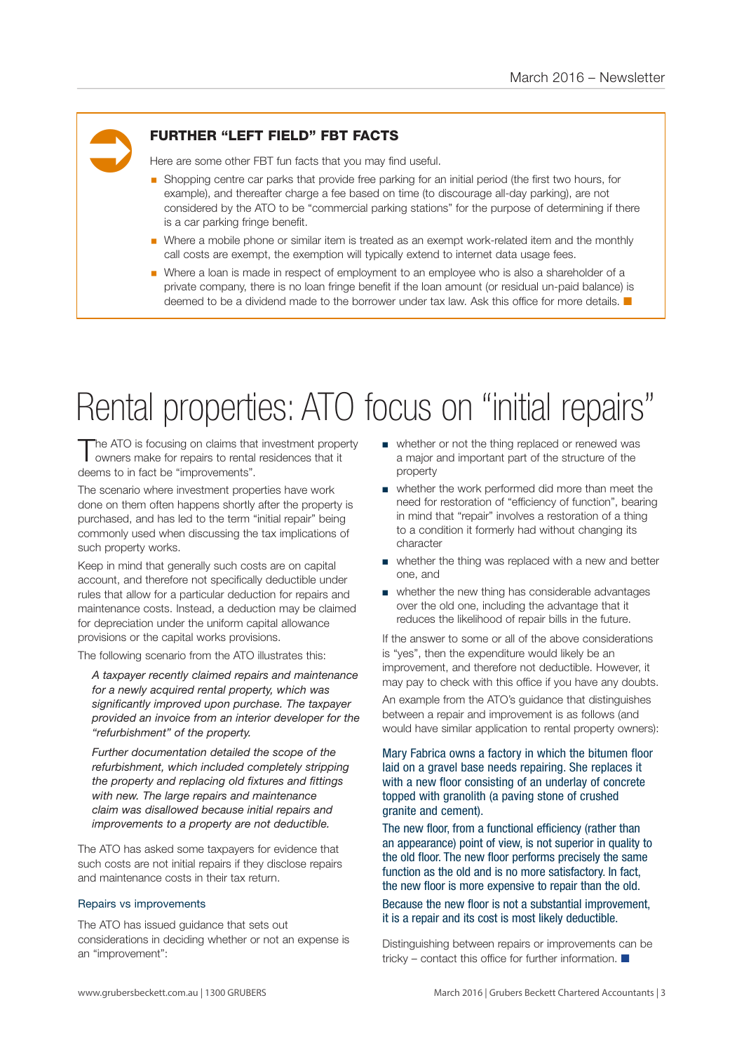# Ü

## FURTHER "LEFT FIELD" FBT FACTS

Here are some other FBT fun facts that you may find useful.

- § Shopping centre car parks that provide free parking for an initial period (the first two hours, for example), and thereafter charge a fee based on time (to discourage all-day parking), are not considered by the ATO to be "commercial parking stations" for the purpose of determining if there is a car parking fringe benefit.
- Where a mobile phone or similar item is treated as an exempt work-related item and the monthly call costs are exempt, the exemption will typically extend to internet data usage fees.
- Where a loan is made in respect of employment to an employee who is also a shareholder of a private company, there is no loan fringe benefit if the loan amount (or residual un-paid balance) is deemed to be a dividend made to the borrower under tax law. Ask this office for more details.  $\blacksquare$

## Rental properties: ATO focus on "initial repairs"

The ATO is focusing on claims that investment property owners make for repairs to rental residences that it deems to in fact be "improvements".

The scenario where investment properties have work done on them often happens shortly after the property is purchased, and has led to the term "initial repair" being commonly used when discussing the tax implications of such property works.

Keep in mind that generally such costs are on capital account, and therefore not specifically deductible under rules that allow for a particular deduction for repairs and maintenance costs. Instead, a deduction may be claimed for depreciation under the uniform capital allowance provisions or the capital works provisions.

The following scenario from the ATO illustrates this:

*A taxpayer recently claimed repairs and maintenance for a newly acquired rental property, which was significantly improved upon purchase. The taxpayer provided an invoice from an interior developer for the "refurbishment" of the property.* 

*Further documentation detailed the scope of the refurbishment, which included completely stripping the property and replacing old fixtures and fittings with new. The large repairs and maintenance claim was disallowed because initial repairs and improvements to a property are not deductible.*

The ATO has asked some taxpayers for evidence that such costs are not initial repairs if they disclose repairs and maintenance costs in their tax return.

#### Repairs vs improvements

The ATO has issued guidance that sets out considerations in deciding whether or not an expense is an "improvement":

- whether or not the thing replaced or renewed was a major and important part of the structure of the property
- whether the work performed did more than meet the need for restoration of "efficiency of function", bearing in mind that "repair" involves a restoration of a thing to a condition it formerly had without changing its character
- whether the thing was replaced with a new and better one, and
- whether the new thing has considerable advantages over the old one, including the advantage that it reduces the likelihood of repair bills in the future.

If the answer to some or all of the above considerations is "yes", then the expenditure would likely be an improvement, and therefore not deductible. However, it may pay to check with this office if you have any doubts.

An example from the ATO's guidance that distinguishes between a repair and improvement is as follows (and would have similar application to rental property owners):

Mary Fabrica owns a factory in which the bitumen floor laid on a gravel base needs repairing. She replaces it with a new floor consisting of an underlay of concrete topped with granolith (a paving stone of crushed granite and cement).

The new floor, from a functional efficiency (rather than an appearance) point of view, is not superior in quality to the old floor. The new floor performs precisely the same function as the old and is no more satisfactory. In fact, the new floor is more expensive to repair than the old.

Because the new floor is not a substantial improvement, it is a repair and its cost is most likely deductible.

Distinguishing between repairs or improvements can be tricky – contact this office for further information.  $\blacksquare$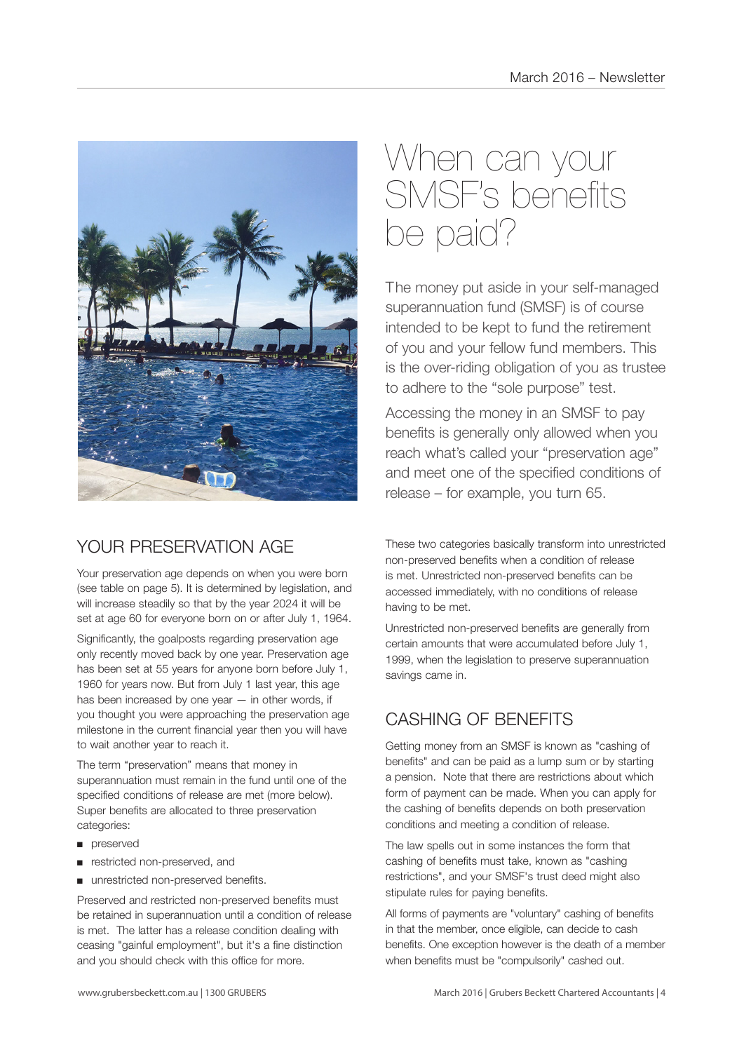

## YOUR PRESERVATION AGE

Your preservation age depends on when you were born (see table on page 5). It is determined by legislation, and will increase steadily so that by the year 2024 it will be set at age 60 for everyone born on or after July 1, 1964.

Significantly, the goalposts regarding preservation age only recently moved back by one year. Preservation age has been set at 55 years for anyone born before July 1, 1960 for years now. But from July 1 last year, this age has been increased by one year — in other words, if you thought you were approaching the preservation age milestone in the current financial year then you will have to wait another year to reach it.

The term "preservation" means that money in superannuation must remain in the fund until one of the specified conditions of release are met (more below). Super benefits are allocated to three preservation categories:

- preserved
- restricted non-preserved, and
- unrestricted non-preserved benefits.

Preserved and restricted non-preserved benefits must be retained in superannuation until a condition of release is met. The latter has a release condition dealing with ceasing "gainful employment", but it's a fine distinction and you should check with this office for more.

## When can your SMSF's benefits be paid?

The money put aside in your self-managed superannuation fund (SMSF) is of course intended to be kept to fund the retirement of you and your fellow fund members. This is the over-riding obligation of you as trustee to adhere to the "sole purpose" test.

Accessing the money in an SMSF to pay benefits is generally only allowed when you reach what's called your "preservation age" and meet one of the specified conditions of release – for example, you turn 65.

These two categories basically transform into unrestricted non-preserved benefits when a condition of release is met. Unrestricted non-preserved benefits can be accessed immediately, with no conditions of release having to be met.

Unrestricted non-preserved benefits are generally from certain amounts that were accumulated before July 1, 1999, when the legislation to preserve superannuation savings came in.

## CASHING OF BENEFITS

Getting money from an SMSF is known as "cashing of benefits" and can be paid as a lump sum or by starting a pension. Note that there are restrictions about which form of payment can be made. When you can apply for the cashing of benefits depends on both preservation conditions and meeting a condition of release.

The law spells out in some instances the form that cashing of benefits must take, known as "cashing restrictions", and your SMSF's trust deed might also stipulate rules for paying benefits.

All forms of payments are "voluntary" cashing of benefits in that the member, once eligible, can decide to cash benefits. One exception however is the death of a member when benefits must be "compulsorily" cashed out.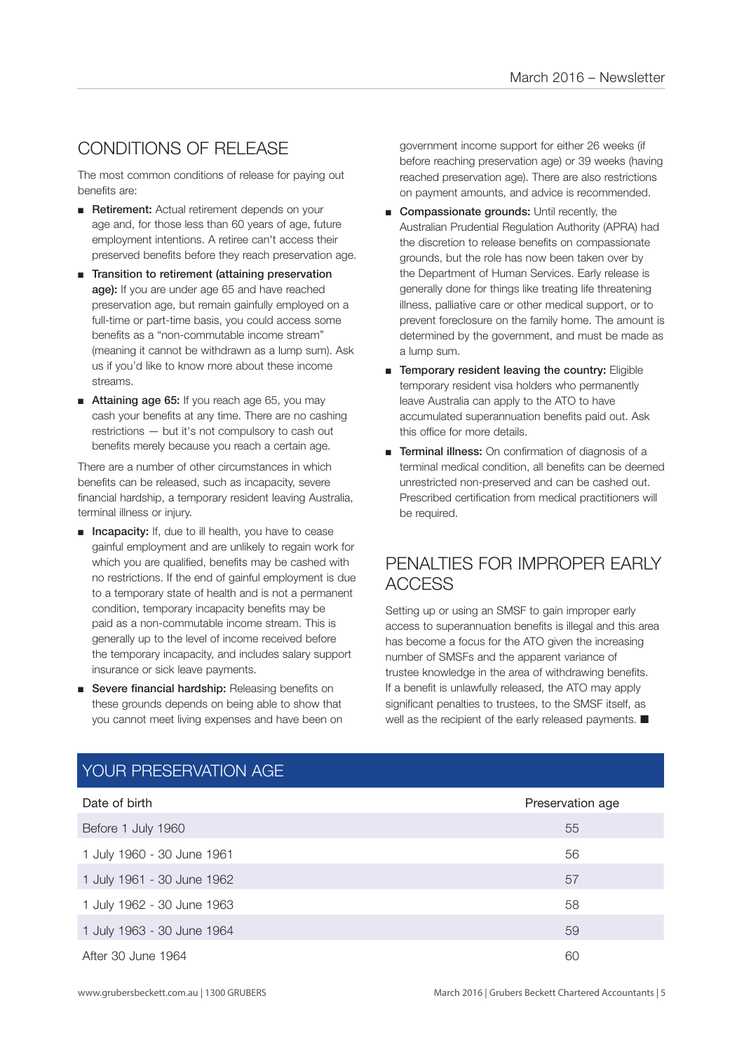## CONDITIONS OF RELEASE

The most common conditions of release for paying out benefits are:

- Retirement: Actual retirement depends on your age and, for those less than 60 years of age, future employment intentions. A retiree can't access their preserved benefits before they reach preservation age.
- Transition to retirement (attaining preservation age): If you are under age 65 and have reached preservation age, but remain gainfully employed on a full-time or part-time basis, you could access some benefits as a "non-commutable income stream" (meaning it cannot be withdrawn as a lump sum). Ask us if you'd like to know more about these income streams.
- Attaining age 65: If you reach age 65, you may cash your benefits at any time. There are no cashing restrictions — but it's not compulsory to cash out benefits merely because you reach a certain age.

There are a number of other circumstances in which benefits can be released, such as incapacity, severe financial hardship, a temporary resident leaving Australia, terminal illness or injury.

- Incapacity: If, due to ill health, you have to cease gainful employment and are unlikely to regain work for which you are qualified, benefits may be cashed with no restrictions. If the end of gainful employment is due to a temporary state of health and is not a permanent condition, temporary incapacity benefits may be paid as a non-commutable income stream. This is generally up to the level of income received before the temporary incapacity, and includes salary support insurance or sick leave payments.
- Severe financial hardship: Releasing benefits on these grounds depends on being able to show that you cannot meet living expenses and have been on

government income support for either 26 weeks (if before reaching preservation age) or 39 weeks (having reached preservation age). There are also restrictions on payment amounts, and advice is recommended.

- Compassionate grounds: Until recently, the Australian Prudential Regulation Authority (APRA) had the discretion to release benefits on compassionate grounds, but the role has now been taken over by the Department of Human Services. Early release is generally done for things like treating life threatening illness, palliative care or other medical support, or to prevent foreclosure on the family home. The amount is determined by the government, and must be made as a lump sum.
- Temporary resident leaving the country: Eligible temporary resident visa holders who permanently leave Australia can apply to the ATO to have accumulated superannuation benefits paid out. Ask this office for more details.
- Terminal illness: On confirmation of diagnosis of a terminal medical condition, all benefits can be deemed unrestricted non-preserved and can be cashed out. Prescribed certification from medical practitioners will be required.

## PENALTIES FOR IMPROPER EARLY ACCESS

Setting up or using an SMSF to gain improper early access to superannuation benefits is illegal and this area has become a focus for the ATO given the increasing number of SMSFs and the apparent variance of trustee knowledge in the area of withdrawing benefits. If a benefit is unlawfully released, the ATO may apply significant penalties to trustees, to the SMSF itself, as well as the recipient of the early released payments.  $\blacksquare$ 

| Date of birth              | Preservation age |
|----------------------------|------------------|
| Before 1 July 1960         | 55               |
| 1 July 1960 - 30 June 1961 | 56               |
| 1 July 1961 - 30 June 1962 | 57               |
| 1 July 1962 - 30 June 1963 | 58               |
| 1 July 1963 - 30 June 1964 | 59               |
| After 30 June 1964         | 60               |

## YOUR PRESERVATION AGE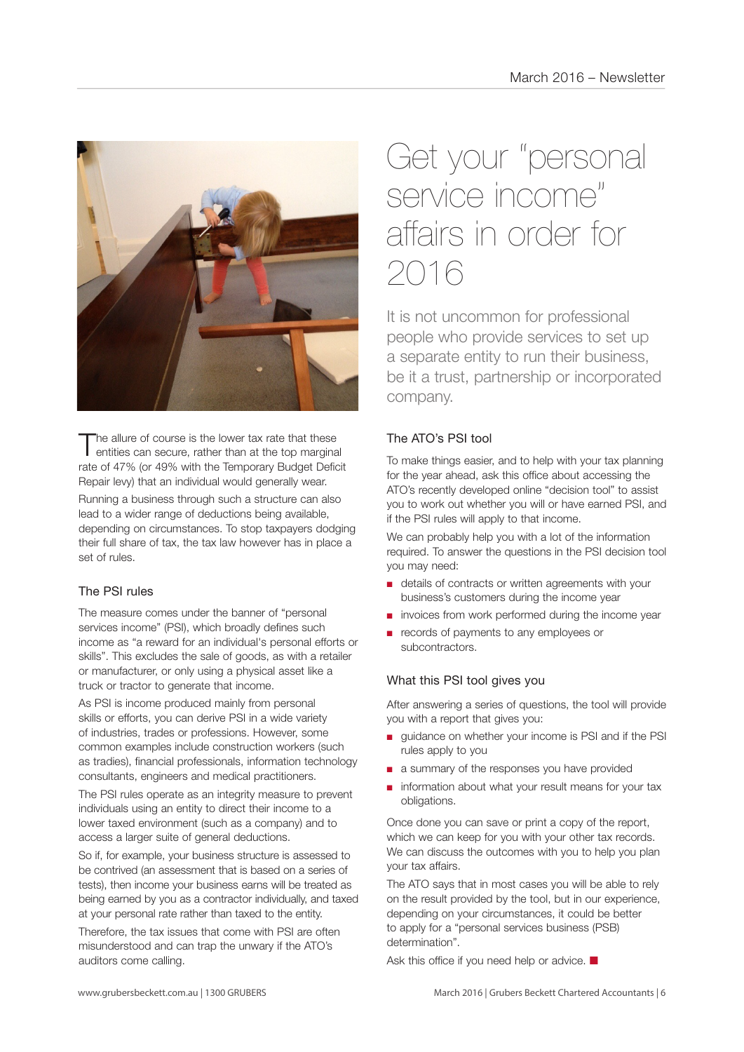

The allure of course is the lower tax rate that these<br>entities can secure, rather than at the top marginal rate of 47% (or 49% with the Temporary Budget Deficit Repair levy) that an individual would generally wear.

Running a business through such a structure can also lead to a wider range of deductions being available, depending on circumstances. To stop taxpayers dodging their full share of tax, the tax law however has in place a set of rules.

### The PSI rules

The measure comes under the banner of "personal services income" (PSI), which broadly defines such income as "a reward for an individual's personal efforts or skills". This excludes the sale of goods, as with a retailer or manufacturer, or only using a physical asset like a truck or tractor to generate that income.

As PSI is income produced mainly from personal skills or efforts, you can derive PSI in a wide variety of industries, trades or professions. However, some common examples include construction workers (such as tradies), financial professionals, information technology consultants, engineers and medical practitioners.

The PSI rules operate as an integrity measure to prevent individuals using an entity to direct their income to a lower taxed environment (such as a company) and to access a larger suite of general deductions.

So if, for example, your business structure is assessed to be contrived (an assessment that is based on a series of tests), then income your business earns will be treated as being earned by you as a contractor individually, and taxed at your personal rate rather than taxed to the entity.

Therefore, the tax issues that come with PSI are often misunderstood and can trap the unwary if the ATO's auditors come calling.

## Get your "personal service income" affairs in order for 2016

It is not uncommon for professional people who provide services to set up a separate entity to run their business, be it a trust, partnership or incorporated company.

### The ATO's PSI tool

To make things easier, and to help with your tax planning for the year ahead, ask this office about accessing the ATO's recently developed online "decision tool" to assist you to work out whether you will or have earned PSI, and if the PSI rules will apply to that income.

We can probably help you with a lot of the information required. To answer the questions in the PSI decision tool you may need:

- details of contracts or written agreements with your business's customers during the income year
- invoices from work performed during the income year
- records of payments to any employees or subcontractors.

### What this PSI tool gives you

After answering a series of questions, the tool will provide you with a report that gives you:

- quidance on whether your income is PSI and if the PSI rules apply to you
- a summary of the responses you have provided
- information about what your result means for your tax obligations.

Once done you can save or print a copy of the report, which we can keep for you with your other tax records. We can discuss the outcomes with you to help you plan your tax affairs.

The ATO says that in most cases you will be able to rely on the result provided by the tool, but in our experience, depending on your circumstances, it could be better to apply for a "personal services business (PSB) determination".

Ask this office if you need help or advice.  $\blacksquare$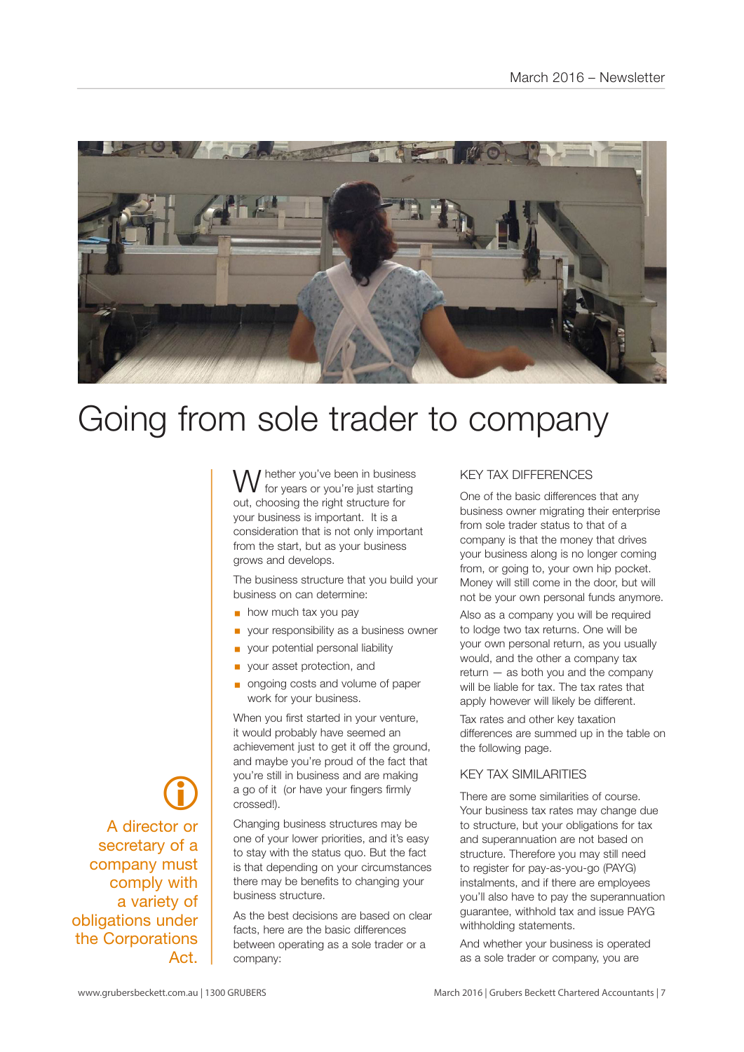

## Going from sole trader to company

I hether you've been in business for years or you're just starting out, choosing the right structure for your business is important. It is a consideration that is not only important from the start, but as your business grows and develops.

The business structure that you build your business on can determine:

- $\blacksquare$  how much tax you pay
- § your responsibility as a business owner
- § your potential personal liability
- § your asset protection, and
- § ongoing costs and volume of paper work for your business.

When you first started in your venture, it would probably have seemed an achievement just to get it off the ground. and maybe you're proud of the fact that you're still in business and are making a go of it (or have your fingers firmly crossed!).

Changing business structures may be one of your lower priorities, and it's easy to stay with the status quo. But the fact is that depending on your circumstances there may be benefits to changing your business structure.

As the best decisions are based on clear facts, here are the basic differences between operating as a sole trader or a company:

#### KEY TAX DIFFERENCES

One of the basic differences that any business owner migrating their enterprise from sole trader status to that of a company is that the money that drives your business along is no longer coming from, or going to, your own hip pocket. Money will still come in the door, but will not be your own personal funds anymore.

Also as a company you will be required to lodge two tax returns. One will be your own personal return, as you usually would, and the other a company tax return — as both you and the company will be liable for tax. The tax rates that apply however will likely be different.

Tax rates and other key taxation differences are summed up in the table on the following page.

#### KEY TAX SIMILARITIES

There are some similarities of course. Your business tax rates may change due to structure, but your obligations for tax and superannuation are not based on structure. Therefore you may still need to register for pay-as-you-go (PAYG) instalments, and if there are employees you'll also have to pay the superannuation guarantee, withhold tax and issue PAYG withholding statements.

And whether your business is operated as a sole trader or company, you are

 $\bigcirc$ A director or secretary of a company must comply with a variety of obligations under the Corporations Act.